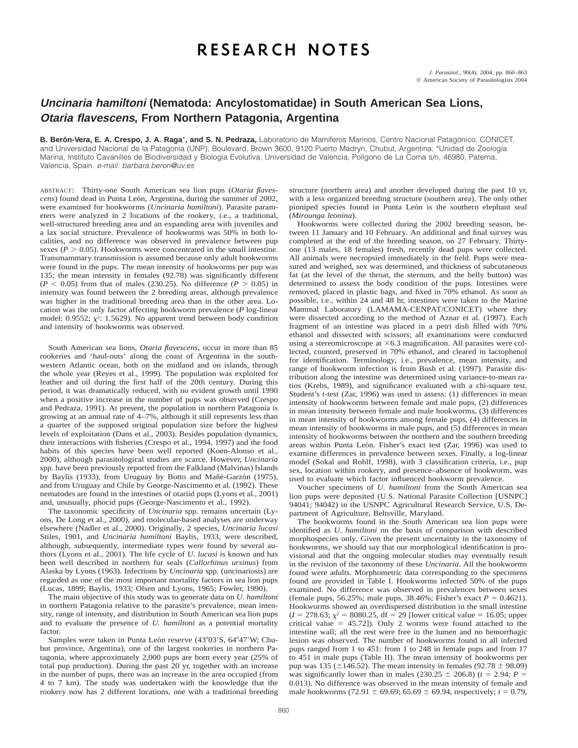# RESEARCH NOTES

### **Uncinaria hamiltoni (Nematoda: Ancylostomatidae) in South American Sea Lions, Otaria flavescens, From Northern Patagonia, Argentina**

B. Berón-Vera, E. A. Crespo, J. A. Raga<sup>\*</sup>, and S. N. Pedraza, Laboratorio de Mamíferos Marinos, Centro Nacional Patagónico, CONICET, and Universidad Nacional de la Patagonia (UNP), Boulevard, Brown 3600, 9120 Puerto Madryn, Chubut, Argentina; \*Unidad de Zoología Marina, Instituto Cavanilles de Biodiversidad y Biología Evolutiva, Universidad de Valencia, Polígono de La Coma s/n, 46980, Paterna, Valencia, Spain. e-mail: barbara.beron@uv.es

ABSTRACT: Thirty-one South American sea lion pups (*Otaria flavescens*) found dead in Punta León, Argentina, during the summer of 2002, were examined for hookworms (*Uncinaria hamiltoni*). Parasite parameters were analyzed in 2 locations of the rookery, i.e., a traditional, well-structured breeding area and an expanding area with juveniles and a lax social structure. Prevalence of hookworms was 50% in both localities, and no difference was observed in prevalence between pup sexes ( $P > 0.05$ ). Hookworms were concentrated in the small intestine. Transmammary transmission is assumed because only adult hookworms were found in the pups. The mean intensity of hookworms per pup was 135; the mean intensity in females (92.78) was significantly different  $(P < 0.05)$  from that of males (230.25). No difference  $(P > 0.05)$  in intensity was found between the 2 breeding areas, although prevalence was higher in the traditional breeding area than in the other area. Location was the only factor affecting hookworm prevalence (*P* log-linear model: 0.9552;  $\chi^2$ : 1.5629). No apparent trend between body condition and intensity of hookworms was observed.

South American sea lions, *Otaria flavescens*, occur in more than 85 rookeries and 'haul-outs' along the coast of Argentina in the southwestern Atlantic ocean, both on the midland and on islands, through the whole year (Reyes et al., 1999). The population was exploited for leather and oil during the first half of the 20th century. During this period, it was dramatically reduced, with no evident growth until 1990 when a positive increase in the number of pups was observed (Crespo and Pedraza, 1991). At present, the population in northern Patagonia is growing at an annual rate of 4–7%, although it still represents less than a quarter of the supposed original population size before the highest levels of exploitation (Dans et al., 2003). Besides population dynamics, their interactions with fisheries (Crespo et al., 1994, 1997) and the food habits of this species have been well reported (Koen-Alonso et al., 2000), although parasitological studies are scarce. However, *Uncinaria* spp. have been previously reported from the Falkland (Malvinas) Islands by Baylis (1933), from Uruguay by Botto and Mañé-Garzón (1975), and from Uruguay and Chile by George-Nascimento et al. (1992). These nematodes are found in the intestines of otariid pups (Lyons et al., 2001) and, unusually, phocid pups (George-Nascimento et al., 1992).

The taxonomic specificity of *Uncinaria* spp. remains uncertain (Lyons, De Long et al., 2000), and molecular-based analyses are underway elsewhere (Nadler et al., 2000). Originally, 2 species, *Uncinaria lucasi* Stiles, 1901, and *Uncinaria hamiltoni* Baylis, 1933, were described, although, subsequently, intermediate types were found by several authors (Lyons et al., 2001). The life cycle of *U. lucasi* is known and has been well described in northern fur seals (*Callorhinus ursinus*) from Alaska by Lyons (1963). Infections by *Uncinaria* spp. (uncinariosis) are regarded as one of the most important mortality factors in sea lion pups (Lucas, 1899; Baylis, 1933; Olsen and Lyons, 1965; Fowler, 1990).

The main objective of this study was to generate data on *U. hamiltoni* in northern Patagonia relative to the parasite's prevalence, mean intensity, range of intensity, and distribution in South American sea lion pups and to evaluate the presence of *U. hamiltoni* as a potential mortality factor.

Samples were taken in Punta León reserve (43°03'S, 64°47'W; Chubut province, Argentina), one of the largest rookeries in northern Patagonia, where approximately 2,000 pups are born every year (25% of total pup production). During the past 20 yr, together with an increase in the number of pups, there was an increase in the area occupied (from 4 to 7 km). The study was undertaken with the knowledge that the rookery now has 2 different locations, one with a traditional breeding structure (northern area) and another developed during the past 10 yr, with a less organized breeding structure (southern area). The only other pinniped species found in Punta León is the southern elephant seal (*Mirounga leonina*).

Hookworms were collected during the 2002 breeding season, between 11 January and 10 February. An additional and final survey was completed at the end of the breeding season, on 27 February. Thirtyone (13 males, 18 females) fresh, recently dead pups were collected. All animals were necropsied immediately in the field. Pups were measured and weighed, sex was determined, and thickness of subcutaneous fat (at the level of the throat, the sternum, and the belly button) was determined to assess the body condition of the pups. Intestines were removed, placed in plastic bags, and fixed in 70% ethanol. As soon as possible, i.e., within 24 and 48 hr, intestines were taken to the Marine Mammal Laboratory (LAMAMA-CENPAT/CONICET) where they were dissected according to the method of Aznar et al. (1997). Each fragment of an intestine was placed in a petri dish filled with 70% ethanol and dissected with scissors; all examinations were conducted using a stereomicroscope at  $\times$  6.3 magnification. All parasites were collected, counted, preserved in 70% ethanol, and cleared in lactophenol for identification. Terminology, i.e., prevalence, mean intensity, and range of hookworm infection is from Bush et al. (1997). Parasite distribution along the intestine was determined using variance-to-mean ratios (Krebs, 1989), and significance evaluated with a chi-square test. Student's *t*-test (Zar, 1996) was used to assess: (1) differences in mean intensity of hookworms between female and male pups, (2) differences in mean intensity between female and male hookworms, (3) differences in mean intensity of hookworms among female pups, (4) differences in mean intensity of hookworms in male pups, and (5) differences in mean intensity of hookworms between the northern and the southern breeding areas within Punta León. Fisher's exact test (Zar, 1996) was used to examine differences in prevalence between sexes. Finally, a log-linear model (Sokal and Rohlf, 1998), with 3 classification criteria, i.e., pup sex, location within rookery, and presence–absence of hookworm, was used to evaluate which factor influenced hookworm prevalence.

Voucher specimens of *U. hamiltoni* from the South American sea lion pups were deposited (U.S. National Parasite Collection [USNPC] 94041; 94042) in the USNPC Agricultural Research Service, U.S. Department of Agriculture, Beltsville, Maryland.

The hookworms found in the South American sea lion pups were identified as *U. hamiltoni* on the basis of comparison with described morphospecies only. Given the present uncertainty in the taxonomy of hookworms, we should say that our morphological identification is provisional and that the ongoing molecular studies may eventually result in the revision of the taxonomy of these *Uncinaria*. All the hookworms found were adults. Morphometric data corresponding to the specimens found are provided in Table I. Hookworms infected 50% of the pups examined. No difference was observed in prevalences between sexes (female pups, 56.25%; male pups, 38.46%; Fisher's exact  $P = 0.4621$ ). Hookworms showed an overdispersed distribution in the small intestine  $(I = 278.63; \chi^2 = 8080.25, df = 29$  [lower critical value = 16.05; upper critical value =  $45.72$ ]). Only 2 worms were found attached to the intestine wall; all the rest were free in the lumen and no hemorrhagic lesion was observed. The number of hookworms found in all infected pups ranged from 1 to 451: from 1 to 248 in female pups and from 17 to 451 in male pups (Table II). The mean intensity of hookworms per pup was 135 ( $\pm$ 146.52). The mean intensity in females (92.78  $\pm$  98.09) was significantly lower than in males (230.25  $\pm$  206.8) ( $t = 2.94$ ;  $P =$ 0.013). No difference was observed in the mean intensity of female and male hookworms (72.91  $\pm$  69.69; 65.69  $\pm$  69.94, respectively; *t* = 0.79,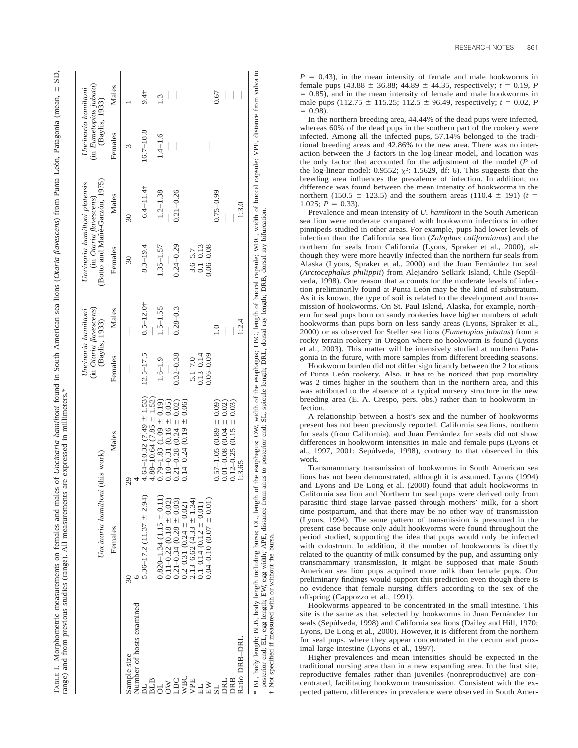|                              | Uncinaria hamiltoni (this work)                                    |                                                                       |               | (in <i>Otaria flavescens</i> )<br>Uncinaria hamiltoni<br>(Baylis, 1933) |                | (Botto and Mañé-Garzón, 1975)<br>Uncinaria hamiltoni platensis<br>(in <i>Otaria flavescens</i> ) | (in Eumetopias jubata)<br>Uncinaria hamiltoni<br>(Baylis, 1933) |                  |
|------------------------------|--------------------------------------------------------------------|-----------------------------------------------------------------------|---------------|-------------------------------------------------------------------------|----------------|--------------------------------------------------------------------------------------------------|-----------------------------------------------------------------|------------------|
|                              | Females                                                            | Males                                                                 | Females       | Males                                                                   | Females        | Males                                                                                            | Females                                                         | Males            |
| Sample size                  | 30                                                                 | 29                                                                    |               |                                                                         | $\frac{30}{2}$ | $\overline{30}$                                                                                  | ω                                                               |                  |
| Number of hosts examined     | $5.36 - 17.2$ (11.37 $\pm$ 2.94)                                   | $4.64 - 10.32(7.49 \pm 1.53)$                                         | $12.5 - 17.5$ | $8.5 - 12.0$ <sup>+</sup>                                               | $8.3 - 19.4$   | $6.4 - 11.4$                                                                                     | $16.7 - 18.8$                                                   | 9.4 <sub>†</sub> |
| <b>BLB</b>                   | $0.820 - 1.34$ (1.15 $\pm$ 0.11)                                   | $0.79 - 1.83$ (1.09 ± 0.19)<br>$4.88 - 10.64$ (7.85 $\pm$ 1           | $1.6 - 1.9$   | $1.5 - 1.55$                                                            | $1.35 - 1.57$  | $1.2 - 1.38$                                                                                     | $1.4 - 1.6$                                                     | 1.3              |
| <b>OL<br/>SA<br/>LBC</b>     | $0.11 - 0.22$ (0.18 $\pm$ 0.02)<br>$0.21 - 0.34$ $(0.28 \pm 0.03)$ | $0.10 - 0.31$ (0.16 $\pm$ 0.05)<br>0.02)<br>$0.21 - 0.28$ $(0.24 \pm$ | $0.32 - 0.38$ | $0.28 - 0.3$                                                            | $0.24 - 0.29$  | $0.21 - 0.26$                                                                                    |                                                                 |                  |
|                              | $0.2 - 0.31$ $(0.24 \pm 0.02)$                                     | $0.14 - 0.24$ (0.19 $\pm$ 0.06)                                       |               |                                                                         |                |                                                                                                  |                                                                 | I                |
| WBC<br>VPE                   | 1.34)<br>$2.13 - 6.62$ (4.33 $\pm$ 1                               |                                                                       | $5.1 - 7.0$   |                                                                         | $3.6 - 5.7$    |                                                                                                  |                                                                 |                  |
|                              | $0.1 - 0.14$ (0.12 $\pm$ 0.01)                                     |                                                                       | $0.13 - 0.14$ |                                                                         | $0.1 - 0.13$   |                                                                                                  |                                                                 |                  |
| $\mathbb{E}\mathbb{W}$<br>SL | $0.04 - 0.10$ (0.07 $\pm$ 0.01)                                    | $0.57 - 1.05$ $(0.89 \pm 0.09)$                                       | $0.06 - 0.09$ | $\frac{0}{1}$                                                           | $0.06 - 0.08$  | $0.75 - 0.99$                                                                                    |                                                                 | 0.67             |
| DRL                          |                                                                    | $0.01 - 0.08$ $0.04 = 0.02$                                           |               | $\overline{\phantom{a}}$                                                |                |                                                                                                  |                                                                 |                  |
| DRB                          |                                                                    | $(0.15 \pm 0.03)$<br>$0.12 - 0.25$                                    |               |                                                                         |                |                                                                                                  |                                                                 |                  |
| Ratio DRB-DRL                |                                                                    | 1:3.65                                                                |               | 1:2.4                                                                   |                | 1:3.0                                                                                            |                                                                 |                  |

 $P = 0.43$ ), in the mean intensity of female and male hookworms in female pups  $(43.88 \pm 36.88; 44.89 \pm 44.35,$  respectively;  $t = 0.19, P$  $= 0.85$ ), and in the mean intensity of female and male hookworms in male pups  $(112.75 \pm 115.25; 112.5 \pm 96.49,$  respectively;  $t = 0.02, P$ In the northern breeding area, 44.44% of the dead pups were infected, whereas 60% of the dead pups in the southern part of the rookery were infected. Among all the infected pups, 57.14% belonged to the traditional breeding areas and 42.86% to the new area. There was no interaction between the 3 factors in the log-linear model, and location was the only factor that accounted for the adjustment of the model ( *P* of the log-linear model: 0.9552;  $\chi^2$ : 1.5629, df: 6). This suggests that the breeding area influences the prevalence of infection. In addition, no difference was found between the mean intensity of hookworms in the northern (150.5  $\pm$  123.5) and the southern areas (110.4  $\pm$  191) (*t* = 1.025;  $P = 0.33$ ).

 $= 0.98$ .

Prevalence and mean intensity of *U. hamiltoni* in the South American sea lion were moderate compared with hookworm infections in other pinnipeds studied in other areas. For example, pups had lower levels of infection than the California sea lion (*Zalophus californianus*) and the northern fur seals from California (Lyons, Spraker et al., 2000), although they were more heavily infected than the northern fur seals from Alaska (Lyons, Spraker et al., 2000) and the Juan Fernández fur seal (*Arctocephalus philippii*) from Alejandro Selkirk Island, Chile (Sepu´lveda, 1998). One reason that accounts for the moderate levels of infection preliminarily found at Punta León may be the kind of substratum. As it is known, the type of soil is related to the development and transmission of hookworms. On St. Paul Island, Alaska, for example, northern fur seal pups born on sandy rookeries have higher numbers of adult hookworms than pups born on less sandy areas (Lyons, Spraker et al., 2000) or as observed for Steller sea lions (*Eumetopias jubatus*) from a rocky terrain rookery in Oregon where no hookworm is found (Lyons et al., 2003). This matter will be intensively studied at northern Patagonia in the future, with more samples from different breeding seasons.

Hookworm burden did not differ significantly between the 2 locations of Punta León rookery. Also, it has to be noticed that pup mortality was 2 times higher in the southern than in the northern area, and this was attributed to the absence of a typical nursery structure in the new breeding area (E. A. Crespo, pers. obs.) rather than to hookworm infection.

A relationship between a host's sex and the number of hookworms present has not been previously reported. California sea lions, northern fur seals (from California), and Juan Fernández fur seals did not show differences in hookworm intensities in male and female pups (Lyons et al., 1997, 2001; Sepúlveda, 1998), contrary to that observed in this work.

Transmammary transmission of hookworms in South American sea lions has not been demonstrated, although it is assumed. Lyons (1994) and Lyons and De Long et al. (2000) found that adult hookworms in California sea lion and Northern fur seal pups were derived only from parasitic third stage larvae passed through mothers' milk, for a short time postpartum, and that there may be no other way of transmission (Lyons, 1994). The same pattern of transmission is presumed in the present case because only adult hookworms were found throughout the period studied, supporting the idea that pups would only be infected with colostrum. In addition, if the number of hookworms is directly related to the quantity of milk consumed by the pup, and assuming only transmammary transmission, it might be supposed that male South American sea lion pups acquired more milk than female pups. Our preliminary findings would support this prediction even though there is no evidence that female nursing differs according to the sex of the offspring (Cappozzo et al., 1991).

Hookworms appeared to be concentrated in the small intestine. This site is the same as that selected by hookworms in Juan Fernández fur seals (Sepúlveda, 1998) and California sea lions (Dailey and Hill, 1970; Lyons, De Long et al., 2000). However, it is different from the northern fur seal pups, where they appear concentrated in the cecum and proximal large intestine (Lyons et al., 1997).

† Not specified if measured with or without the bursa.

Not specified if measured with or

without the bursa.

Higher prevalences and mean intensities should be expected in the traditional nursing area than in a new expanding area. In the first site, reproductive females rather than juveniles (nonreproductive) are concentrated, facilitating hookworm transmission. Consistent with the expected pattern, differences in prevalence were observed in South Amer-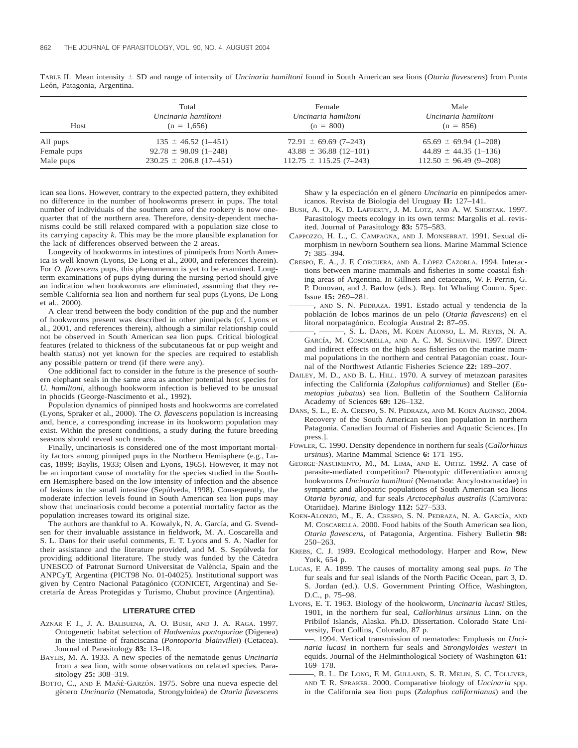| Host        | Total                       | Female                        | Male                         |
|-------------|-----------------------------|-------------------------------|------------------------------|
|             | Uncinaria hamiltoni         | Uncinaria hamiltoni           | Uncinaria hamiltoni          |
|             | $(n = 1.656)$               | $(n = 800)$                   | $(n = 856)$                  |
| All pups    | $135 \pm 46.52$ (1-451)     | $72.91 \pm 69.69$ (7-243)     | $65.69 \pm 69.94 (1 - 208)$  |
| Female pups | $92.78 \pm 98.09$ (1-248)   | $43.88 \pm 36.88$ (12-101)    | $44.89 \pm 44.35$ (1-136)    |
| Male pups   | $230.25 \pm 206.8$ (17-451) | $112.75 \pm 115.25 (7 - 243)$ | $112.50 \pm 96.49 (9 - 208)$ |

TABLE II. Mean intensity  $\pm$  SD and range of intensity of *Uncinaria hamiltoni* found in South American sea lions (*Otaria flavescens*) from Punta León, Patagonia, Argentina.

ican sea lions. However, contrary to the expected pattern, they exhibited no difference in the number of hookworms present in pups. The total number of individuals of the southern area of the rookery is now onequarter that of the northern area. Therefore, density-dependent mechanisms could be still relaxed compared with a population size close to its carrying capacity *k.* This may be the more plausible explanation for the lack of differences observed between the 2 areas.

Longevity of hookworms in intestines of pinnipeds from North America is well known (Lyons, De Long et al., 2000, and references therein). For *O. flavescens* pups, this phenomenon is yet to be examined. Longterm examinations of pups dying during the nursing period should give an indication when hookworms are eliminated, assuming that they resemble California sea lion and northern fur seal pups (Lyons, De Long et al., 2000).

A clear trend between the body condition of the pup and the number of hookworms present was described in other pinnipeds (cf. Lyons et al., 2001, and references therein), although a similar relationship could not be observed in South American sea lion pups. Critical biological features (related to thickness of the subcutaneous fat or pup weight and health status) not yet known for the species are required to establish any possible pattern or trend (if there were any).

One additional fact to consider in the future is the presence of southern elephant seals in the same area as another potential host species for *U. hamiltoni*, although hookworm infection is believed to be unusual in phocids (George-Nascimento et al., 1992).

Population dynamics of pinniped hosts and hookworms are correlated (Lyons, Spraker et al., 2000). The *O. flavescens* population is increasing and, hence, a corresponding increase in its hookworm population may exist. Within the present conditions, a study during the future breeding seasons should reveal such trends.

Finally, uncinariosis is considered one of the most important mortality factors among pinniped pups in the Northern Hemisphere (e.g., Lucas, 1899; Baylis, 1933; Olsen and Lyons, 1965). However, it may not be an important cause of mortality for the species studied in the Southern Hemisphere based on the low intensity of infection and the absence of lesions in the small intestine (Sepu´lveda, 1998). Consequently, the moderate infection levels found in South American sea lion pups may show that uncinariosis could become a potential mortality factor as the population increases toward its original size.

The authors are thankful to A. Kowalyk, N. A. García, and G. Svendsen for their invaluable assistance in fieldwork, M. A. Coscarella and S. L. Dans for their useful comments, E. T. Lyons and S. A. Nadler for their assistance and the literature provided, and M. S. Sepúlveda for providing additional literature. The study was funded by the Cátedra UNESCO of Patronat Surnord Universitat de València, Spain and the ANPCyT, Argentina (PICT98 No. 01-04025). Institutional support was given by Centro Nacional Patagónico (CONICET, Argentina) and Secretaría de Áreas Protegidas y Turismo, Chubut province (Argentina).

#### **LITERATURE CITED**

- AZNAR F. J., J. A. BALBUENA, A. O. BUSH, AND J. A. RAGA. 1997. Ontogenetic habitat selection of *Hadwenius pontoporiae* (Digenea) in the intestine of franciscana (*Pontoporia blainvillei*) (Cetacea). Journal of Parasitology **83:** 13–18.
- BAYLIS, M. A. 1933. A new species of the nematode genus *Uncinaria* from a sea lion, with some observations on related species. Parasitology **25:** 308–319.
- BOTTO, C., AND F. MAÑÉ-GARZÓN. 1975. Sobre una nueva especie del ge´nero *Uncinaria* (Nematoda, Strongyloidea) de *Otaria flavescens*

Shaw y la especiación en el género *Uncinaria* en pinnípedos americanos. Revista de Biología del Uruguay II: 127-141.

- BUSH, A. O., K. D. LAFFERTY, J. M. LOTZ, AND A. W. SHOSTAK. 1997. Parasitology meets ecology in its own terms: Margolis et al. revisited. Journal of Parasitology **83:** 575–583.
- CAPPOZZO, H. L., C. CAMPAGNA, AND J. MONSERRAT. 1991. Sexual dimorphism in newborn Southern sea lions. Marine Mammal Science **7:** 385–394.
- CRESPO, E. A., J. F. CORCUERA, AND A. LÓPEZ CAZORLA. 1994. Interactions between marine mammals and fisheries in some coastal fishing areas of Argentina. *In* Gillnets and cetaceans, W. F. Perrin, G. P. Donovan, and J. Barlow (eds.). Rep. Int Whaling Comm. Spec. Issue **15:** 269–281.
	- ———, AND S. N. PEDRAZA. 1991. Estado actual y tendencia de la poblacio´n de lobos marinos de un pelo (*Otaria flavescens*) en el litoral norpatagónico. Ecología Austral 2: 87-95.
- $-$ , S. L. Dans, M. KOEN ALONSO, L. M. REYES, N. A. GARCÍA, M. COSCARELLA, AND A. C. M. SCHIAVINI. 1997. Direct and indirect effects on the high seas fisheries on the marine mammal populations in the northern and central Patagonian coast. Journal of the Northwest Atlantic Fisheries Science **22:** 189–207.
- DAILEY, M. D., AND B. L. HILL. 1970. A survey of metazoan parasites infecting the California (*Zalophus californianus*) and Steller (*Eumetopias jubatus*) sea lion. Bulletin of the Southern California Academy of Sciences **69:** 126–132.
- DANS, S. L., E. A. CRESPO, S. N. PEDRAZA, AND M. KOEN ALONSO. 2004. Recovery of the South American sea lion population in northern Patagonia. Canadian Journal of Fisheries and Aquatic Sciences. [In press.].
- FOWLER, C. 1990. Density dependence in northern fur seals (*Callorhinus ursinus*). Marine Mammal Science **6:** 171–195.
- GEORGE-NASCIMENTO, M., M. LIMA, AND E. ORTIZ. 1992. A case of parasite-mediated competition? Phenotypic differentiation among hookworms *Uncinaria hamiltoni* (Nematoda: Ancylostomatidae) in sympatric and allopatric populations of South American sea lions *Otaria byronia*, and fur seals *Arctocephalus australis* (Carnivora: Otariidae). Marine Biology **112:** 527–533.
- KOEN-ALONZO, M., E. A. CRESPO, S. N. PEDRAZA, N. A. GARCÍA, AND M. COSCARELLA. 2000. Food habits of the South American sea lion, *Otaria flavescens,* of Patagonia, Argentina. Fishery Bulletin **98:** 250–263.
- KREBS, C. J. 1989. Ecological methodology. Harper and Row, New York, 654 p.
- LUCAS, F. A. 1899. The causes of mortality among seal pups. *In* The fur seals and fur seal islands of the North Pacific Ocean, part 3, D. S. Jordan (ed.). U.S. Government Printing Office, Washington, D.C., p. 75–98.
- LYONS, E. T. 1963. Biology of the hookworm, *Uncinaria lucasi* Stiles, 1901, in the northern fur seal, *Callorhinus ursinus* Linn. on the Pribilof Islands, Alaska. Ph.D. Dissertation. Colorado State University, Fort Collins, Colorado, 87 p.
- 1994. Vertical transmission of nematodes: Emphasis on *Uncinaria lucasi* in northern fur seals and *Strongyloides westeri* in equids. Journal of the Helminthological Society of Washington **61:** 169–178.
- ———, R. L. DE LONG, F. M. GULLAND, S. R. MELIN, S. C. TOLLIVER, AND T. R. SPRAKER. 2000. Comparative biology of *Uncinaria* spp. in the California sea lion pups (*Zalophus californianus*) and the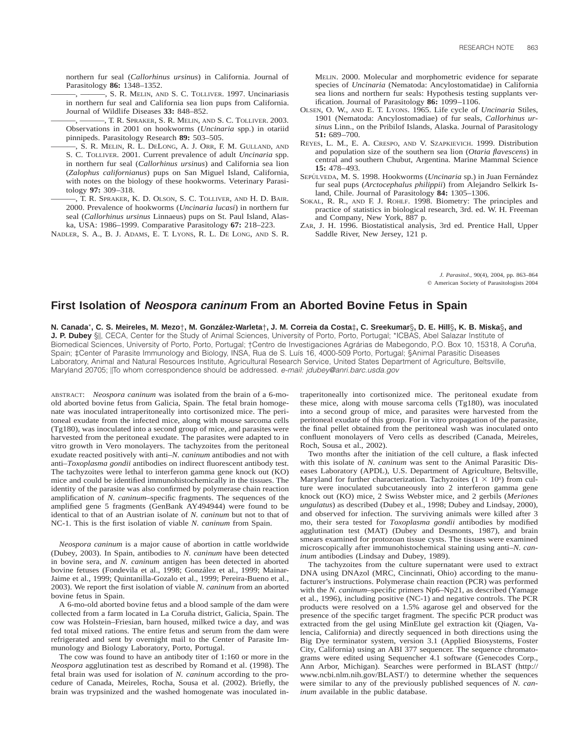northern fur seal (*Callorhinus ursinus*) in California. Journal of Parasitology **86:** 1348–1352.

-, S. R. MELIN, AND S. C. TOLLIVER. 1997. Uncinariasis in northern fur seal and California sea lion pups from California. Journal of Wildlife Diseases **33:** 848–852.

———, ———, T. R. SPRAKER, S. R. MELIN, AND S. C. TOLLIVER. 2003. Observations in 2001 on hookworms (*Uncinaria* spp.) in otariid pinnipeds. Parasitology Research **89:** 503–505.

———, S. R. MELIN, R. L. DELONG, A. J. ORR, F. M. GULLAND, AND S. C. TOLLIVER. 2001. Current prevalence of adult *Uncinaria* spp. in northern fur seal (*Callorhinus ursinus*) and California sea lion (*Zalophus californianus*) pups on San Miguel Island, California, with notes on the biology of these hookworms. Veterinary Parasitology **97:** 309–318.

———, T. R. SPRAKER, K. D. OLSON, S. C. TOLLIVER, AND H. D. BAIR. 2000. Prevalence of hookworms (*Uncinaria lucasi*) in northern fur seal (*Callorhinus ursinus* Linnaeus) pups on St. Paul Island, Alaska, USA: 1986–1999. Comparative Parasitology **67:** 218–223.

NADLER, S. A., B. J. ADAMS, E. T. LYONS, R. L. DE LONG, AND S. R.

MELIN. 2000. Molecular and morphometric evidence for separate species of *Uncinaria* (Nematoda: Ancylostomatidae) in California sea lions and northern fur seals: Hypothesis testing supplants verification. Journal of Parasitology **86:** 1099–1106.

- OLSEN, O. W., AND E. T. LYONS. 1965. Life cycle of *Uncinaria* Stiles, 1901 (Nematoda: Ancylostomadiae) of fur seals, *Callorhinus ursinus* Linn., on the Pribilof Islands, Alaska. Journal of Parasitology **51:** 689–700.
- REYES, L. M., E. A. CRESPO, AND V. SZAPKIEVICH. 1999. Distribution and population size of the southern sea lion (*Otaria flavescens*) in central and southern Chubut, Argentina. Marine Mammal Science **15:** 478–493.
- SEPÚLVEDA, M. S. 1998. Hookworms (*Uncinaria* sp.) in Juan Fernández fur seal pups (*Arctocephalus philippii*) from Alejandro Selkirk Island, Chile. Journal of Parasitology **84:** 1305–1306.
- SOKAL, R. R., AND F. J. ROHLF. 1998. Biometry: The principles and practice of statistics in biological research, 3rd. ed. W. H. Freeman and Company, New York, 887 p.
- ZAR, J. H. 1996. Biostatistical analysis, 3rd ed. Prentice Hall, Upper Saddle River, New Jersey, 121 p.

*J. Parasitol.,* 90(4), 2004, pp. 863–864  $©$  American Society of Parasitologists 2004

### **First Isolation of Neospora caninum From an Aborted Bovine Fetus in Spain**

**N. Canada**\***, C. S. Meireles, M. Mezo**†**, M. Gonza´lez-Warleta**†**, J. M. Correia da Costa**‡**, C. Sreekumar**§**, D. E. Hill**§**, K. B. Miska**§**, and J. P. Dubey** §||, CECA, Center for the Study of Animal Sciences, University of Porto, Porto, Portugal; \*ICBAS, Abel Salazar Institute of Biomedical Sciences, University of Porto, Porto, Portugal; †Centro de Investigaciones Agrárias de Mabegondo, P.O. Box 10, 15318, A Coruña, Spain; ‡Center of Parasite Immunology and Biology, INSA, Rua de S. Luı´s 16, 4000-509 Porto, Portugal; §Animal Parasitic Diseases Laboratory, Animal and Natural Resources Institute, Agricultural Research Service, United States Department of Agriculture, Beltsville, Maryland 20705; ||To whom correspondence should be addressed. e-mail: jdubey@anri.barc.usda.gov

ABSTRACT: *Neospora caninum* was isolated from the brain of a 6-moold aborted bovine fetus from Galicia, Spain. The fetal brain homogenate was inoculated intraperitoneally into cortisonized mice. The peritoneal exudate from the infected mice, along with mouse sarcoma cells (Tg180), was inoculated into a second group of mice, and parasites were harvested from the peritoneal exudate. The parasites were adapted to in vitro growth in Vero monolayers. The tachyzoites from the peritoneal exudate reacted positively with anti–*N. caninum* antibodies and not with anti–*Toxoplasma gondii* antibodies on indirect fluorescent antibody test. The tachyzoites were lethal to interferon gamma gene knock out (KO) mice and could be identified immunohistochemically in the tissues. The identity of the parasite was also confirmed by polymerase chain reaction amplification of *N. caninum*–specific fragments. The sequences of the amplified gene 5 fragments (GenBank AY494944) were found to be identical to that of an Austrian isolate of *N. caninum* but not to that of NC-1. This is the first isolation of viable *N. caninum* from Spain.

*Neospora caninum* is a major cause of abortion in cattle worldwide (Dubey, 2003). In Spain, antibodies to *N. caninum* have been detected in bovine sera, and *N. caninum* antigen has been detected in aborted bovine fetuses (Fondevila et al., 1998; González et al., 1999; Mainar-Jaime et al., 1999; Quintanilla-Gozalo et al., 1999; Pereira-Bueno et al., 2003). We report the first isolation of viable *N. caninum* from an aborted bovine fetus in Spain.

A 6-mo-old aborted bovine fetus and a blood sample of the dam were collected from a farm located in La Coruña district, Galicia, Spain. The cow was Holstein–Friesian, barn housed, milked twice a day, and was fed total mixed rations. The entire fetus and serum from the dam were refrigerated and sent by overnight mail to the Center of Parasite Immunology and Biology Laboratory, Porto, Portugal.

The cow was found to have an antibody titer of 1:160 or more in the *Neospora* agglutination test as described by Romand et al. (1998). The fetal brain was used for isolation of *N. caninum* according to the procedure of Canada, Meireles, Rocha, Sousa et al. (2002). Briefly, the brain was trypsinized and the washed homogenate was inoculated in-

traperitoneally into cortisonized mice. The peritoneal exudate from these mice, along with mouse sarcoma cells (Tg180), was inoculated into a second group of mice, and parasites were harvested from the peritoneal exudate of this group. For in vitro propagation of the parasite, the final pellet obtained from the peritoneal wash was inoculated onto confluent monolayers of Vero cells as described (Canada, Meireles, Roch, Sousa et al., 2002).

Two months after the initiation of the cell culture, a flask infected with this isolate of *N. caninum* was sent to the Animal Parasitic Diseases Laboratory (APDL), U.S. Department of Agriculture, Beltsville, Maryland for further characterization. Tachyzoites  $(1 \times 10^6)$  from culture were inoculated subcutaneously into 2 interferon gamma gene knock out (KO) mice, 2 Swiss Webster mice, and 2 gerbils (*Meriones ungulatus*) as described (Dubey et al., 1998; Dubey and Lindsay, 2000), and observed for infection. The surviving animals were killed after 3 mo, their sera tested for *Toxoplasma gondii* antibodies by modified agglutination test (MAT) (Dubey and Desmonts, 1987), and brain smears examined for protozoan tissue cysts. The tissues were examined microscopically after immunohistochemical staining using anti–*N. caninum* antibodies (Lindsay and Dubey, 1989).

The tachyzoites from the culture supernatant were used to extract DNA using DNAzol (MRC, Cincinnati, Ohio) according to the manufacturer's instructions. Polymerase chain reaction (PCR) was performed with the *N. caninum*–specific primers Np6–Np21, as described (Yamage et al., 1996), including positive (NC-1) and negative controls. The PCR products were resolved on a 1.5% agarose gel and observed for the presence of the specific target fragment. The specific PCR product was extracted from the gel using MinElute gel extraction kit (Qiagen, Valencia, California) and directly sequenced in both directions using the Big Dye terminator system, version 3.1 (Applied Biosystems, Foster City, California) using an ABI 377 sequencer. The sequence chromatograms were edited using Sequencher 4.1 software (Genecodes Corp., Ann Arbor, Michigan). Searches were performed in BLAST (http:// www.ncbi.nlm.nih.gov/BLAST/) to determine whether the sequences were similar to any of the previously published sequences of *N. caninum* available in the public database.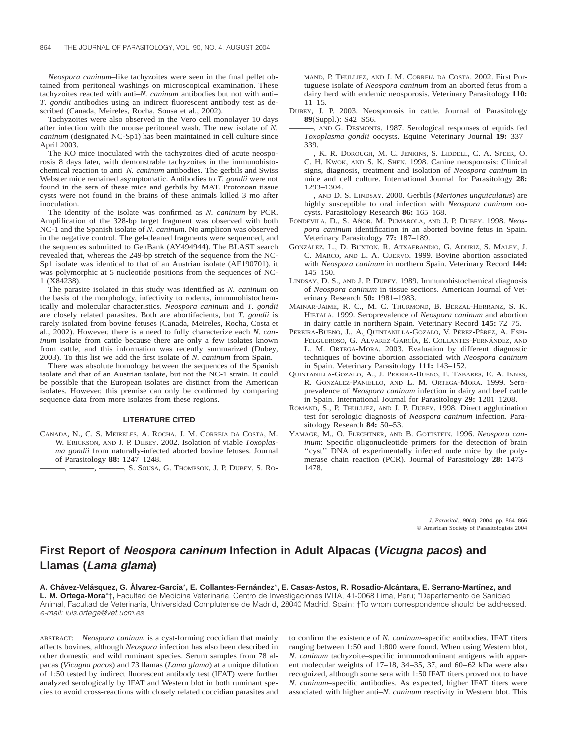*Neospora caninum*–like tachyzoites were seen in the final pellet obtained from peritoneal washings on microscopical examination. These tachyzoites reacted with anti–*N. caninum* antibodies but not with anti– *T. gondii* antibodies using an indirect fluorescent antibody test as described (Canada, Meireles, Rocha, Sousa et al., 2002).

Tachyzoites were also observed in the Vero cell monolayer 10 days after infection with the mouse peritoneal wash. The new isolate of *N. caninum* (designated NC-Sp1) has been maintained in cell culture since April 2003.

The KO mice inoculated with the tachyzoites died of acute neosporosis 8 days later, with demonstrable tachyzoites in the immunohistochemical reaction to anti–*N. caninum* antibodies. The gerbils and Swiss Webster mice remained asymptomatic. Antibodies to *T. gondii* were not found in the sera of these mice and gerbils by MAT. Protozoan tissue cysts were not found in the brains of these animals killed 3 mo after inoculation.

The identity of the isolate was confirmed as *N. caninum* by PCR. Amplification of the 328-bp target fragment was observed with both NC-1 and the Spanish isolate of *N. caninum*. No amplicon was observed in the negative control. The gel-cleaned fragments were sequenced, and the sequences submitted to GenBank (AY494944). The BLAST search revealed that, whereas the 249-bp stretch of the sequence from the NC-Sp1 isolate was identical to that of an Austrian isolate (AF190701), it was polymorphic at 5 nucleotide positions from the sequences of NC-1 (X84238).

The parasite isolated in this study was identified as *N. caninum* on the basis of the morphology, infectivity to rodents, immunohistochemically and molecular characteristics. *Neospora caninum* and *T. gondii* are closely related parasites. Both are abortifacients, but *T. gondii* is rarely isolated from bovine fetuses (Canada, Meireles, Rocha, Costa et al., 2002). However, there is a need to fully characterize each *N. caninum* isolate from cattle because there are only a few isolates known from cattle, and this information was recently summarized (Dubey, 2003). To this list we add the first isolate of *N. caninum* from Spain.

There was absolute homology between the sequences of the Spanish isolate and that of an Austrian isolate, but not the NC-1 strain. It could be possible that the European isolates are distinct from the American isolates. However, this premise can only be confirmed by comparing sequence data from more isolates from these regions.

#### **LITERATURE CITED**

CANADA, N., C. S. MEIRELES, A. ROCHA, J. M. CORREIA DA COSTA, M. W. ERICKSON, AND J. P. DUBEY. 2002. Isolation of viable *Toxoplasma gondii* from naturally-infected aborted bovine fetuses. Journal of Parasitology **88:** 1247–1248.

———, ———, ———, S. SOUSA, G. THOMPSON, J. P. DUBEY, S. RO-

MAND, P. THULLIEZ, AND J. M. CORREIA DA COSTA. 2002. First Portuguese isolate of *Neospora caninum* from an aborted fetus from a dairy herd with endemic neosporosis. Veterinary Parasitology **110:**  $11 - 15$ .

- DUBEY, J. P. 2003. Neosporosis in cattle. Journal of Parasitology **89**(Suppl.): S42–S56.
- -, AND G. DESMONTS. 1987. Serological responses of equids fed *Toxoplasma gondii* oocysts. Equine Veterinary Journal **19:** 337– 339.
- K. R. DOROUGH, M. C. JENKINS, S. LIDDELL, C. A. SPEER, O. C. H. KWOK, AND S. K. SHEN. 1998. Canine neosporosis: Clinical signs, diagnosis, treatment and isolation of *Neospora caninum* in mice and cell culture. International Journal for Parasitology **28:** 1293–1304.
- ———, AND D. S. LINDSAY. 2000. Gerbils (*Meriones unguiculatus*) are highly susceptible to oral infection with *Neospora caninum* oocysts. Parasitology Research **86:** 165–168.
- FONDEVILA, D., S. AÑOR, M. PUMAROLA, AND J. P. DUBEY. 1998. Neos*pora caninum* identification in an aborted bovine fetus in Spain. Veterinary Parasitology **77:** 187–189.
- GONZÁLEZ, L., D. BUXTON, R. ATXAERANDIO, G. ADURIZ, S. MALEY, J. C. MARCO, AND L. A. CUERVO. 1999. Bovine abortion associated with *Neospora caninum* in northern Spain. Veterinary Record **144:** 145–150.
- LINDSAY, D. S., AND J. P. DUBEY. 1989. Immunohistochemical diagnosis of *Neospora caninum* in tissue sections. American Journal of Veterinary Research **50:** 1981–1983.
- MAINAR-JAIME, R. C., M. C. THURMOND, B. BERZAL-HERRANZ, S. K. HIETALA. 1999. Seroprevalence of *Neospora caninum* and abortion in dairy cattle in northern Spain. Veterinary Record **145:** 72–75.
- PEREIRA-BUENO, J., A. QUINTANILLA-GOZALO, V. PÉREZ-PÉREZ, A. ESPI-FELGUEROSO, G. ÁLVAREZ-GARCÍA, E. COLLANTES-FERNÁNDEZ, AND L. M. ORTEGA-MORA. 2003. Evaluation by different diagnostic techniques of bovine abortion associated with *Neospora caninum* in Spain. Veterinary Parasitology **111:** 143–152.
- QUINTANILLA-GOZALO, A., J. PEREIRA-BUENO, E. TABARÉS, E. A. INNES, R. GONZÁLEZ-PANIELLO, AND L. M. ORTEGA-MORA. 1999. Seroprevalence of *Neospora caninum* infection in dairy and beef cattle in Spain. International Journal for Parasitology **29:** 1201–1208.
- ROMAND, S., P. THULLIEZ, AND J. P. DUBEY. 1998. Direct agglutination test for serologic diagnosis of *Neospora caninum* infection. Parasitology Research **84:** 50–53.
- YAMAGE, M., O. FLECHTNER, AND B. GOTTSTEIN. 1996. *Neospora caninum*: Specific oligonucleotide primers for the detection of brain "cyst" DNA of experimentally infected nude mice by the polymerase chain reaction (PCR). Journal of Parasitology **28:** 1473– 1478.

*J. Parasitol.,* 90(4), 2004, pp. 864–866  $©$  American Society of Parasitologists 2004

## **First Report of Neospora caninum Infection in Adult Alpacas (Vicugna pacos) and Llamas (Lama glama)**

**A. Cha´vez-Vela´squez, G. A´ lvarez-Garcı´a**\***, E. Collantes-Ferna´ndez**\***, E. Casas-Astos, R. Rosadio-Alca´ntara, E. Serrano-Martı´nez, and L. M. Ortega-Mora**\*†**,** Facultad de Medicina Veterinaria, Centro de Investigaciones IVITA, 41-0068 Lima, Peru; \*Departamento de Sanidad Animal, Facultad de Veterinaria, Universidad Complutense de Madrid, 28040 Madrid, Spain; †To whom correspondence should be addressed. e-mail: luis.ortega@vet.ucm.es

ABSTRACT: *Neospora caninum* is a cyst-forming coccidian that mainly affects bovines, although *Neospora* infection has also been described in other domestic and wild ruminant species. Serum samples from 78 alpacas (*Vicugna pacos*) and 73 llamas (*Lama glama*) at a unique dilution of 1:50 tested by indirect fluorescent antibody test (IFAT) were further analyzed serologically by IFAT and Western blot in both ruminant species to avoid cross-reactions with closely related coccidian parasites and to confirm the existence of *N. caninum*–specific antibodies. IFAT titers ranging between 1:50 and 1:800 were found. When using Western blot, *N. caninum* tachyzoite–specific immunodominant antigens with apparent molecular weights of 17–18, 34–35, 37, and 60–62 kDa were also recognized, although some sera with 1:50 IFAT titers proved not to have *N. caninum*–specific antibodies. As expected, higher IFAT titers were associated with higher anti–*N. caninum* reactivity in Western blot. This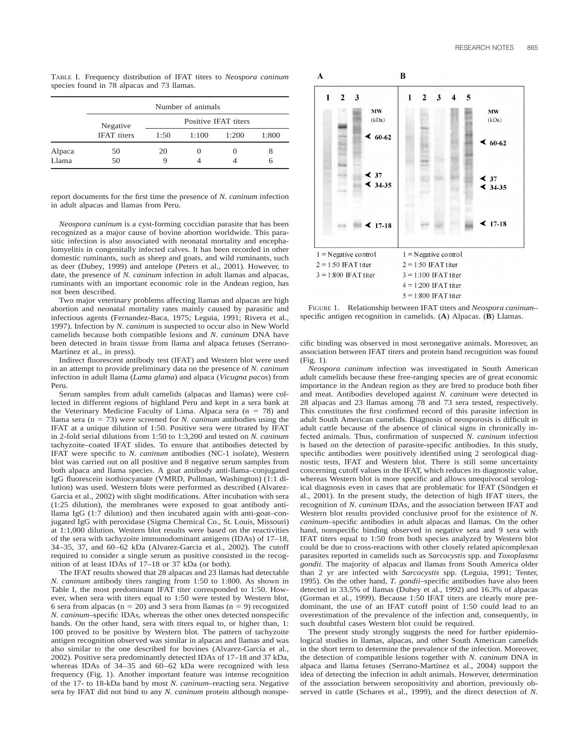TABLE I. Frequency distribution of IFAT titers to *Neospora caninum* species found in 78 alpacas and 73 llamas.

|                 | Number of animals              |                      |       |       |        |
|-----------------|--------------------------------|----------------------|-------|-------|--------|
|                 | Negative<br><b>IFAT</b> titers | Positive IFAT titers |       |       |        |
|                 |                                | 1:50                 | 1:100 | 1:200 | 1:800  |
| Alpaca<br>Llama | 50<br>50                       | 20<br>g              |       |       | 8<br>6 |

report documents for the first time the presence of *N. caninum* infection in adult alpacas and llamas from Peru.

*Neospora caninum* is a cyst-forming coccidian parasite that has been recognized as a major cause of bovine abortion worldwide. This parasitic infection is also associated with neonatal mortality and encephalomyelitis in congenitally infected calves. It has been recorded in other domestic ruminants, such as sheep and goats, and wild ruminants, such as deer (Dubey, 1999) and antelope (Peters et al., 2001). However, to date, the presence of *N. caninum* infection in adult llamas and alpacas, ruminants with an important economic role in the Andean region, has not been described.

Two major veterinary problems affecting llamas and alpacas are high abortion and neonatal mortality rates mainly caused by parasitic and infectious agents (Fernandez-Baca, 1975; Leguia, 1991; Rivera et al., 1997). Infection by *N. caninum* is suspected to occur also in New World camelids because both compatible lesions and *N. caninum* DNA have been detected in brain tissue from llama and alpaca fetuses (Serrano-Martínez et al., in press).

Indirect fluorescent antibody test (IFAT) and Western blot were used in an attempt to provide preliminary data on the presence of *N. caninum* infection in adult llama (*Lama glama*) and alpaca (*Vicugna pacos*) from Peru.

Serum samples from adult camelids (alpacas and llamas) were collected in different regions of highland Peru and kept in a sera bank at the Veterinary Medicine Faculty of Lima. Alpaca sera ( $n = 78$ ) and llama sera ( $n = 73$ ) were screened for *N. caninum* antibodies using the IFAT at a unique dilution of 1:50. Positive sera were titrated by IFAT in 2-fold serial dilutions from 1:50 to 1:3,200 and tested on *N. caninum* tachyzoite–coated IFAT slides. To ensure that antibodies detected by IFAT were specific to *N. caninum* antibodies (NC-1 isolate), Western blot was carried out on all positive and 8 negative serum samples from both alpaca and llama species. A goat antibody anti-llama–conjugated IgG fluorescein isothiocyanate (VMRD, Pullman, Washington) (1:1 dilution) was used. Western blots were performed as described (Alvarez-Garcia et al., 2002) with slight modifications. After incubation with sera (1:25 dilution), the membranes were exposed to goat antibody antillama IgG (1:7 dilution) and then incubated again with anti-goat–conjugated IgG with peroxidase (Sigma Chemical Co., St. Louis, Missouri) at 1:1,000 dilution. Western blot results were based on the reactivities of the sera with tachyzoite immunodominant antigens (IDAs) of 17–18, 34–35, 37, and 60–62 kDa (Alvarez-Garcia et al., 2002). The cutoff required to consider a single serum as positive consisted in the recognition of at least IDAs of 17–18 or 37 kDa (or both).

The IFAT results showed that 28 alpacas and 23 llamas had detectable *N. caninum* antibody titers ranging from 1:50 to 1:800. As shown in Table I, the most predominant IFAT titer corresponded to 1:50. However, when sera with titers equal to 1:50 were tested by Western blot, 6 sera from alpacas ( $n = 20$ ) and 3 sera from llamas ( $n = 9$ ) recognized *N. caninum*–specific IDAs, whereas the other ones detected nonspecific bands. On the other hand, sera with titers equal to, or higher than, 1: 100 proved to be positive by Western blot. The pattern of tachyzoite antigen recognition observed was similar in alpacas and llamas and was also similar to the one described for bovines (Alvarez-Garcia et al., 2002). Positive sera predominantly detected IDAs of 17–18 and 37 kDa, whereas IDAs of  $34-35$  and  $60-62$  kDa were recognized with less frequency (Fig. 1). Another important feature was intense recognition of the 17- to 18-kDa band by most *N. caninum*–reacting sera. Negative sera by IFAT did not bind to any *N. caninum* protein although nonspe-



FIGURE 1. Relationship between IFAT titers and *Neospora caninum*– specific antigen recognition in camelids. (**A**) Alpacas. (**B**) Llamas.

cific binding was observed in most seronegative animals. Moreover, an association between IFAT titers and protein band recognition was found (Fig. 1).

*Neospora caninum* infection was investigated in South American adult camelids because these free-ranging species are of great economic importance in the Andean region as they are bred to produce both fiber and meat. Antibodies developed against *N. caninum* were detected in 28 alpacas and 23 llamas among 78 and 73 sera tested, respectively. This constitutes the first confirmed record of this parasite infection in adult South American camelids. Diagnosis of neosporosis is difficult in adult cattle because of the absence of clinical signs in chronically infected animals. Thus, confirmation of suspected *N. caninum* infection is based on the detection of parasite-specific antibodies. In this study, specific antibodies were positively identified using 2 serological diagnostic tests, IFAT and Western blot. There is still some uncertainty concerning cutoff values in the IFAT, which reduces its diagnostic value, whereas Western blot is more specific and allows unequivocal serological diagnosis even in cases that are problematic for IFAT (Söndgen et al., 2001). In the present study, the detection of high IFAT titers, the recognition of *N. caninum* IDAs, and the association between IFAT and Western blot results provided conclusive proof for the existence of *N. caninum*–specific antibodies in adult alpacas and llamas. On the other hand, nonspecific binding observed in negative sera and 9 sera with IFAT titers equal to 1:50 from both species analyzed by Western blot could be due to cross-reactions with other closely related apicomplexan parasites reported in camelids such as *Sarcocystis* spp. and *Toxoplasma gondii*. The majority of alpacas and llamas from South America older than 2 yr are infected with *Sarcocystis* spp. (Leguia, 1991; Tenter, 1995). On the other hand, *T. gondii*–specific antibodies have also been detected in 33.5% of llamas (Dubey et al., 1992) and 16.3% of alpacas (Gorman et al., 1999). Because 1:50 IFAT titers are clearly more predominant, the use of an IFAT cutoff point of 1:50 could lead to an overestimation of the prevalence of the infection and, consequently, in such doubtful cases Western blot could be required.

The present study strongly suggests the need for further epidemiological studies in llamas, alpacas, and other South American camelids in the short term to determine the prevalence of the infection. Moreover, the detection of compatible lesions together with *N. caninum* DNA in alpaca and llama fetuses (Serrano-Martínez et al., 2004) support the idea of detecting the infection in adult animals. However, determination of the association between seropositivity and abortion, previously observed in cattle (Schares et al., 1999), and the direct detection of *N.*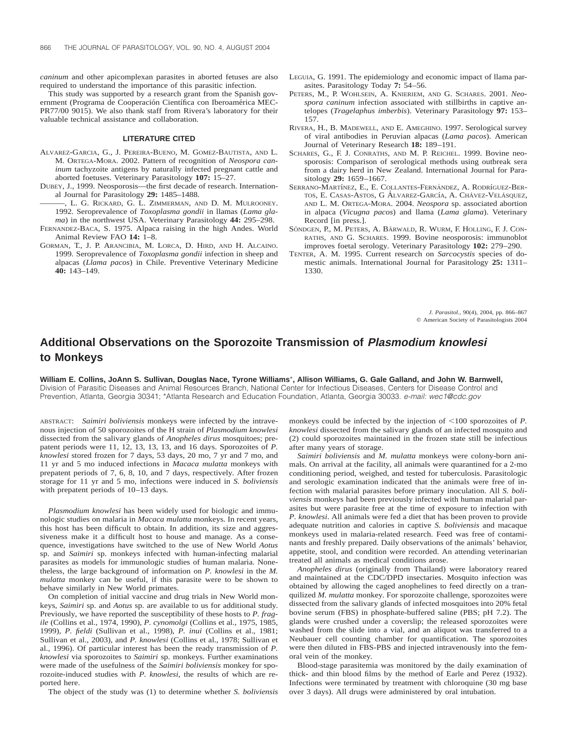*caninum* and other apicomplexan parasites in aborted fetuses are also required to understand the importance of this parasitic infection.

This study was supported by a research grant from the Spanish government (Programa de Cooperación Científica con Iberoamérica MEC-PR77/00 9015). We also thank staff from Rivera's laboratory for their valuable technical assistance and collaboration.

#### **LITERATURE CITED**

- ALVAREZ-GARCIA, G., J. PEREIRA-BUENO, M. GOMEZ-BAUTISTA, AND L. M. ORTEGA-MORA. 2002. Pattern of recognition of *Neospora caninum* tachyzoite antigens by naturally infected pregnant cattle and aborted foetuses. Veterinary Parasitology **107:** 15–27.
- DUBEY, J., 1999. Neosporosis—the first decade of research. International Journal for Parasitology **29:** 1485–1488.
- , L. G. RICKARD, G. L. ZIMMERMAN, AND D. M. MULROONEY. 1992. Seroprevalence of *Toxoplasma gondii* in llamas (*Lama glama*) in the northwest USA. Veterinary Parasitology **44:** 295–298.
- FERNANDEZ-BACA, S. 1975. Alpaca raising in the high Andes. World Animal Review FAO **14:** 1–8.
- GORMAN, T., J. P. ARANCIBIA, M. LORCA, D. HIRD, AND H. ALCAINO. 1999. Seroprevalence of *Toxoplasma gondii* infection in sheep and alpacas (*Llama pacos*) in Chile. Preventive Veterinary Medicine **40:** 143–149.
- LEGUIA, G. 1991. The epidemiology and economic impact of llama parasites. Parasitology Today **7:** 54–56.
- PETERS, M., P. WOHLSEIN, A. KNIERIEM, AND G. SCHARES. 2001. *Neospora caninum* infection associated with stillbirths in captive antelopes (*Tragelaphus imberbis*). Veterinary Parasitology **97:** 153– 157.
- RIVERA, H., B. MADEWELL, AND E. AMEGHINO. 1997. Serological survey of viral antibodies in Peruvian alpacas (*Lama pacos*). American Journal of Veterinary Research **18:** 189–191.
- SCHARES, G., F. J. CONRATHS, AND M. P. REICHEL. 1999. Bovine neosporosis: Comparison of serological methods using outbreak sera from a dairy herd in New Zealand. International Journal for Parasitology **29:** 1659–1667.
- SERRANO-MARTÍNEZ, E., E. COLLANTES-FERNÁNDEZ, A. RODRÍGUEZ-BER-TOS, E. CASAS-ASTOS, G ÁLVAREZ-GARCÍA, A. CHÁVEZ-VELÁSQUEZ, AND L. M. ORTEGA-MORA. 2004. *Neospora* sp. associated abortion in alpaca (*Vicugna pacos*) and llama (*Lama glama*). Veterinary Record [in press.].
- SÖNDGEN, P., M. PETERS, A. BÄRWALD, R. WURM, F. HOLLING, F. J. CON-RATHS, AND G. SCHARES. 1999. Bovine neosporosis: immunoblot improves foetal serology. Veterinary Parasitology **102:** 279–290.
- TENTER, A. M. 1995. Current research on *Sarcocystis* species of domestic animals. International Journal for Parasitology **25:** 1311– 1330.

*J. Parasitol.,* 90(4), 2004, pp. 866–867  $©$  American Society of Parasitologists 2004

### **Additional Observations on the Sporozoite Transmission of Plasmodium knowlesi to Monkeys**

**William E. Collins, JoAnn S. Sullivan, Douglas Nace, Tyrone Williams**\***, Allison Williams, G. Gale Galland, and John W. Barnwell,** Division of Parasitic Diseases and Animal Resources Branch, National Center for Infectious Diseases, Centers for Disease Control and Prevention, Atlanta, Georgia 30341; \*Atlanta Research and Education Foundation, Atlanta, Georgia 30033. e-mail: wec1@cdc.gov

ABSTRACT: *Saimiri boliviensis* monkeys were infected by the intravenous injection of 50 sporozoites of the H strain of *Plasmodium knowlesi* dissected from the salivary glands of *Anopheles dirus* mosquitoes; prepatent periods were 11, 12, 13, 13, 13, and 16 days. Sporozoites of *P. knowlesi* stored frozen for 7 days, 53 days, 20 mo, 7 yr and 7 mo, and 11 yr and 5 mo induced infections in *Macaca mulatta* monkeys with prepatent periods of 7, 6, 8, 10, and 7 days, respectively. After frozen storage for 11 yr and 5 mo, infections were induced in *S. boliviensis* with prepatent periods of 10–13 days.

*Plasmodium knowlesi* has been widely used for biologic and immunologic studies on malaria in *Macaca mulatta* monkeys. In recent years, this host has been difficult to obtain. In addition, its size and aggressiveness make it a difficult host to house and manage. As a consequence, investigations have switched to the use of New World *Aotus* sp. and *Saimiri* sp. monkeys infected with human-infecting malarial parasites as models for immunologic studies of human malaria. Nonetheless, the large background of information on *P. knowlesi* in the *M. mulatta* monkey can be useful, if this parasite were to be shown to behave similarly in New World primates.

On completion of initial vaccine and drug trials in New World monkeys, *Saimiri* sp. and *Aotus* sp. are available to us for additional study. Previously, we have reported the susceptibility of these hosts to *P. fragile* (Collins et al., 1974, 1990), *P. cynomolgi* (Collins et al., 1975, 1985, 1999), *P. fieldi* (Sullivan et al., 1998), *P. inui* (Collins et al., 1981; Sullivan et al., 2003), and *P. knowlesi* (Collins et al., 1978; Sullivan et al., 1996). Of particular interest has been the ready transmission of *P. knowlesi* via sporozoites to *Saimiri* sp. monkeys. Further examinations were made of the usefulness of the *Saimiri boliviensis* monkey for sporozoite-induced studies with *P. knowlesi*, the results of which are reported here.

The object of the study was (1) to determine whether *S. boliviensis*

monkeys could be infected by the injection of  $\leq 100$  sporozoites of *P*. *knowlesi* dissected from the salivary glands of an infected mosquito and (2) could sporozoites maintained in the frozen state still be infectious after many years of storage.

*Saimiri boliviensis* and *M. mulatta* monkeys were colony-born animals. On arrival at the facility, all animals were quarantined for a 2-mo conditioning period, weighed, and tested for tuberculosis. Parasitologic and serologic examination indicated that the animals were free of infection with malarial parasites before primary inoculation. All *S. boliviensis* monkeys had been previously infected with human malarial parasites but were parasite free at the time of exposure to infection with *P. knowlesi*. All animals were fed a diet that has been proven to provide adequate nutrition and calories in captive *S. boliviensis* and macaque monkeys used in malaria-related research. Feed was free of contaminants and freshly prepared. Daily observations of the animals' behavior, appetite, stool, and condition were recorded. An attending veterinarian treated all animals as medical conditions arose.

*Anopheles dirus* (originally from Thailand) were laboratory reared and maintained at the CDC/DPD insectaries. Mosquito infection was obtained by allowing the caged anophelines to feed directly on a tranquilized *M. mulatta* monkey. For sporozoite challenge, sporozoites were dissected from the salivary glands of infected mosquitoes into 20% fetal bovine serum (FBS) in phosphate-buffered saline (PBS; pH 7.2). The glands were crushed under a coverslip; the released sporozoites were washed from the slide into a vial, and an aliquot was transferred to a Neubauer cell counting chamber for quantification. The sporozoites were then diluted in FBS-PBS and injected intravenously into the femoral vein of the monkey.

Blood-stage parasitemia was monitored by the daily examination of thick- and thin blood films by the method of Earle and Perez (1932). Infections were terminated by treatment with chloroquine (30 mg base over 3 days). All drugs were administered by oral intubation.